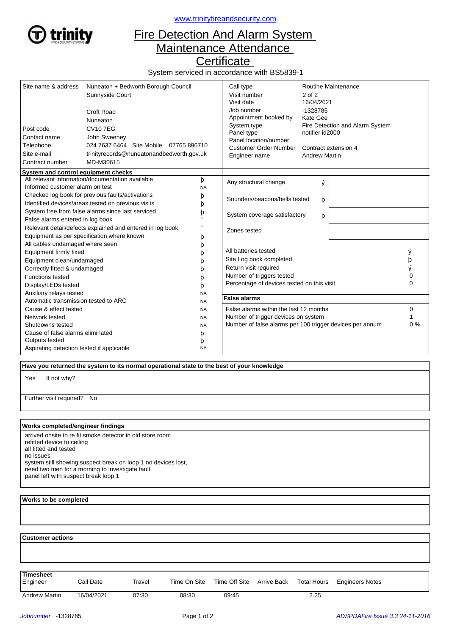

<www.trinityfireandsecurity.com>

## Fire Detection And Alarm System Maintenance Attendance

**Certificate** 

System serviced in accordance with BS5839-1

| Site name & address<br>Post code<br>Contact name<br>Telephone<br>Site e-mail<br>Contract number | Nuneaton + Bedworth Borough Council<br>Sunnyside Court<br>Croft Road<br>Nuneaton<br><b>CV107EG</b><br>John Sweeney<br>024 7637 6464 Site Mobile 07765 896710<br>trinityrecords@nuneatonandbedworth.gov.uk<br>MD-M30615 |                | Call type<br>Visit number<br>Visit date<br>Job number<br>Appointment booked by<br>System type<br>Panel type<br>Panel location/number<br><b>Customer Order Number</b><br>Engineer name | 2 of 2<br>16/04/2021<br>-1328785<br>Kate Gee<br>notifier id2000<br><b>Andrew Martin</b> | Routine Maintenance<br>Fire Detection and Alarm System<br>Contract extension 4 |          |
|-------------------------------------------------------------------------------------------------|------------------------------------------------------------------------------------------------------------------------------------------------------------------------------------------------------------------------|----------------|---------------------------------------------------------------------------------------------------------------------------------------------------------------------------------------|-----------------------------------------------------------------------------------------|--------------------------------------------------------------------------------|----------|
| System and control equipment checks                                                             | All relevant information/documentation available                                                                                                                                                                       |                |                                                                                                                                                                                       |                                                                                         |                                                                                |          |
| Informed customer alarm on test                                                                 |                                                                                                                                                                                                                        | þ<br><b>NA</b> | Any structural change                                                                                                                                                                 | ý                                                                                       |                                                                                |          |
|                                                                                                 | Checked log book for previous faults/activations                                                                                                                                                                       | þ              |                                                                                                                                                                                       |                                                                                         |                                                                                |          |
|                                                                                                 | Identified devices/areas tested on previous visits                                                                                                                                                                     | þ              | Sounders/beacons/bells tested                                                                                                                                                         | þ                                                                                       |                                                                                |          |
|                                                                                                 | System free from false alarms since last serviced                                                                                                                                                                      | þ              | System coverage satisfactory                                                                                                                                                          |                                                                                         |                                                                                |          |
| False alarms entered in log book                                                                |                                                                                                                                                                                                                        |                |                                                                                                                                                                                       | þ                                                                                       |                                                                                |          |
|                                                                                                 | Relevant detail/defects explained and entered in log book                                                                                                                                                              |                | Zones tested                                                                                                                                                                          |                                                                                         |                                                                                |          |
|                                                                                                 | Equipment as per specification where known                                                                                                                                                                             | þ              |                                                                                                                                                                                       |                                                                                         |                                                                                |          |
| All cables undamaged where seen                                                                 |                                                                                                                                                                                                                        | þ              |                                                                                                                                                                                       |                                                                                         |                                                                                |          |
| Equipment firmly fixed                                                                          |                                                                                                                                                                                                                        | b              | All batteries tested                                                                                                                                                                  |                                                                                         |                                                                                | ý        |
| Equipment clean/undamaged                                                                       |                                                                                                                                                                                                                        | h              | Site Log book completed                                                                                                                                                               |                                                                                         |                                                                                | þ        |
| Correctly fitted & undamaged                                                                    |                                                                                                                                                                                                                        | D              | Return visit required                                                                                                                                                                 |                                                                                         |                                                                                |          |
| <b>Functions tested</b>                                                                         |                                                                                                                                                                                                                        | h              | Number of triggers tested                                                                                                                                                             |                                                                                         |                                                                                | 0        |
| Display/LEDs tested                                                                             |                                                                                                                                                                                                                        | b              | Percentage of devices tested on this visit                                                                                                                                            |                                                                                         |                                                                                | $\Omega$ |
| Auxiliary relays tested                                                                         |                                                                                                                                                                                                                        | <b>NA</b>      |                                                                                                                                                                                       |                                                                                         |                                                                                |          |
| Automatic transmission tested to ARC                                                            |                                                                                                                                                                                                                        | <b>NA</b>      | <b>False alarms</b>                                                                                                                                                                   |                                                                                         |                                                                                |          |
| Cause & effect tested                                                                           |                                                                                                                                                                                                                        | <b>NA</b>      | False alarms within the last 12 months                                                                                                                                                |                                                                                         |                                                                                | 0        |
| Network tested                                                                                  |                                                                                                                                                                                                                        | <b>NA</b>      | Number of trigger devices on system                                                                                                                                                   |                                                                                         |                                                                                |          |
| Shutdowns tested                                                                                |                                                                                                                                                                                                                        | <b>NA</b>      | Number of false alarms per 100 trigger devices per annum                                                                                                                              |                                                                                         |                                                                                | 0%       |
| Cause of false alarms eliminated                                                                |                                                                                                                                                                                                                        | þ              |                                                                                                                                                                                       |                                                                                         |                                                                                |          |
| Outputs tested                                                                                  |                                                                                                                                                                                                                        | þ              |                                                                                                                                                                                       |                                                                                         |                                                                                |          |
| Aspirating detection tested if applicable                                                       |                                                                                                                                                                                                                        | <b>NA</b>      |                                                                                                                                                                                       |                                                                                         |                                                                                |          |

 **Have you returned the system to its normal operational state to the best of your knowledge**

If not why? Yes

Further visit required? No

## **Works completed/engineer findings**

arrived onsite to re fit smoke detector in old store room refitted device to ceiling all fitted and tested no issues system still showing suspect break on loop 1 no devices lost, need two men for a morning to investigate fault panel left with suspect break loop 1

## **Works to be completed**

 **Customer actions**

**Timesheet**

Andrew Martin 16/04/2021 07:30 08:30 09:45 2.25

Engineer Call Date Travel Time On Site Time Off Site Arrive Back Total Hours Engineers Notes

Time Off Site Arrive Back